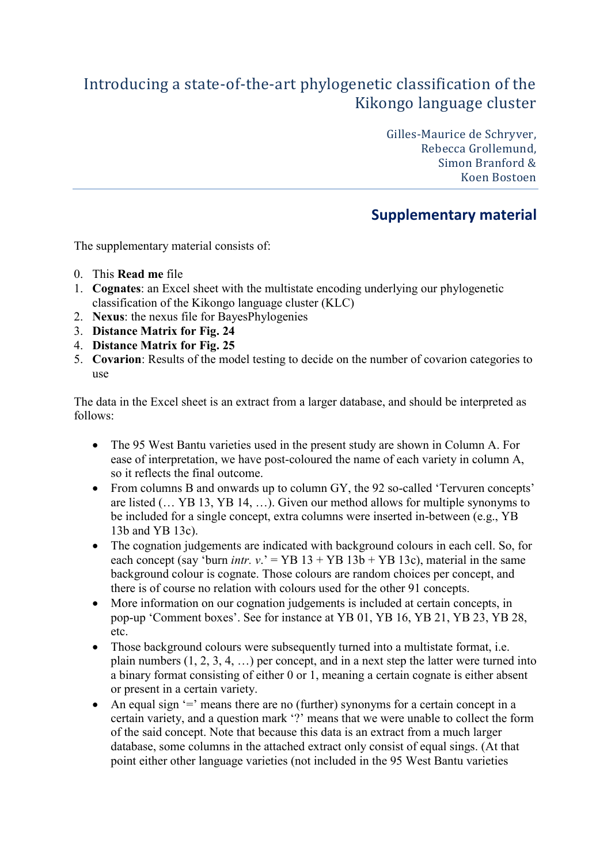## Introducing a state-of-the-art phylogenetic classification of the Kikongo language cluster

Gilles-Maurice de Schryver, Rebecca Grollemund, Simon Branford & Koen Bostoen

## **Supplementary material**

The supplementary material consists of:

- 0. This **Read me** file
- 1. **Cognates**: an Excel sheet with the multistate encoding underlying our phylogenetic classification of the Kikongo language cluster (KLC)
- 2. **Nexus**: the nexus file for BayesPhylogenies
- 3. **Distance Matrix for Fig. 24**
- 4. **Distance Matrix for Fig. 25**
- 5. **Covarion**: Results of the model testing to decide on the number of covarion categories to use

The data in the Excel sheet is an extract from a larger database, and should be interpreted as follows:

- The 95 West Bantu varieties used in the present study are shown in Column A. For ease of interpretation, we have post-coloured the name of each variety in column A, so it reflects the final outcome.
- From columns B and onwards up to column GY, the 92 so-called 'Tervuren concepts' are listed (… YB 13, YB 14, …). Given our method allows for multiple synonyms to be included for a single concept, extra columns were inserted in-between (e.g., YB 13b and YB 13c).
- The cognation judgements are indicated with background colours in each cell. So, for each concept (say 'burn *intr. v.*' = YB  $13 + YB 13b + YB 13c$ ), material in the same background colour is cognate. Those colours are random choices per concept, and there is of course no relation with colours used for the other 91 concepts.
- More information on our cognation judgements is included at certain concepts, in pop-up 'Comment boxes'. See for instance at YB 01, YB 16, YB 21, YB 23, YB 28, etc.
- Those background colours were subsequently turned into a multistate format, i.e. plain numbers (1, 2, 3, 4, …) per concept, and in a next step the latter were turned into a binary format consisting of either 0 or 1, meaning a certain cognate is either absent or present in a certain variety.
- An equal sign  $=$  means there are no (further) synonyms for a certain concept in a certain variety, and a question mark '?' means that we were unable to collect the form of the said concept. Note that because this data is an extract from a much larger database, some columns in the attached extract only consist of equal sings. (At that point either other language varieties (not included in the 95 West Bantu varieties